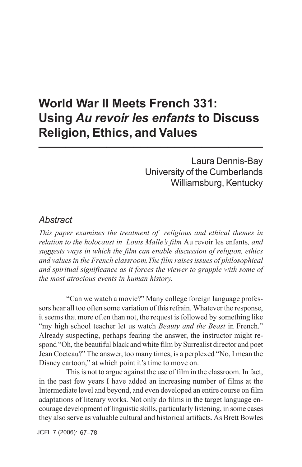## **World War II Meets French 331: Using** *Au revoir les enfants* **to Discuss Religion, Ethics, and Values 10.** [10. [2011]  $\frac{1}{2}$

Laura Dennis-Bay University of the Cumberlands Williamsburg, Kentucky

### *Abstract*

*This paper examines the treatment of religious and ethical themes in relation to the holocaust in Louis Malle's film* Au revoir les enfants*, and suggests ways in which the film can enable discussion of religion, ethics and values in the French classroom.The film raises issues of philosophical and spiritual significance as it forces the viewer to grapple with some of the most atrocious events in human history.*

"Can we watch a movie?" Many college foreign language professors hear all too often some variation of this refrain. Whatever the response, it seems that more often than not, the request is followed by something like "my high school teacher let us watch *Beauty and the Beast* in French." Already suspecting, perhaps fearing the answer, the instructor might respond "Oh, the beautiful black and white film by Surrealist director and poet Jean Cocteau?" The answer, too many times, is a perplexed "No, I mean the Disney cartoon," at which point it's time to move on.

This is not to argue against the use of film in the classroom. In fact, in the past few years I have added an increasing number of films at the Intermediate level and beyond, and even developed an entire course on film adaptations of literary works. Not only do films in the target language encourage development of linguistic skills, particularly listening, in some cases they also serve as valuable cultural and historical artifacts. As Brett Bowles

JCFL 7 (2006): 67–78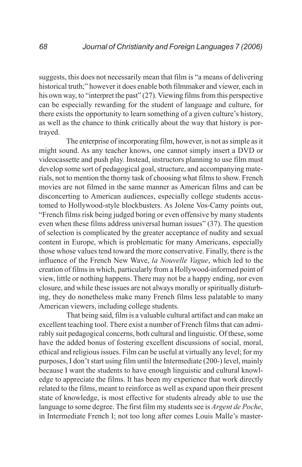suggests, this does not necessarily mean that film is "a means of delivering historical truth;" however it does enable both filmmaker and viewer, each in his own way, to "interpret the past" (27). Viewing films from this perspective can be especially rewarding for the student of language and culture, for there exists the opportunity to learn something of a given culture's history, as well as the chance to think critically about the way that history is portrayed.

The enterprise of incorporating film, however, is not as simple as it might sound. As any teacher knows, one cannot simply insert a DVD or videocassette and push play. Instead, instructors planning to use film must develop some sort of pedagogical goal, structure, and accompanying materials, not to mention the thorny task of choosing what films to show. French movies are not filmed in the same manner as American films and can be disconcerting to American audiences, especially college students accustomed to Hollywood-style blockbusters. As Jolene Vos-Camy points out, "French films risk being judged boring or even offensive by many students even when these films address universal human issues" (37). The question of selection is complicated by the greater acceptance of nudity and sexual content in Europe, which is problematic for many Americans, especially those whose values tend toward the more conservative. Finally, there is the influence of the French New Wave, *la Nouvelle Vague*, which led to the creation of films in which, particularly from a Hollywood-informed point of view, little or nothing happens. There may not be a happy ending, nor even closure, and while these issues are not always morally or spiritually disturbing, they do nonetheless make many French films less palatable to many American viewers, including college students.

That being said, film is a valuable cultural artifact and can make an excellent teaching tool. There exist a number of French films that can admirably suit pedagogical concerns, both cultural and linguistic. Of these, some have the added bonus of fostering excellent discussions of social, moral, ethical and religious issues. Film can be useful at virtually any level; for my purposes, I don't start using film until the Intermediate (200-) level, mainly because I want the students to have enough linguistic and cultural knowledge to appreciate the films. It has been my experience that work directly related to the films, meant to reinforce as well as expand upon their present state of knowledge, is most effective for students already able to use the language to some degree. The first film my students see is *Argent de Poche*, in Intermediate French I; not too long after comes Louis Malle's master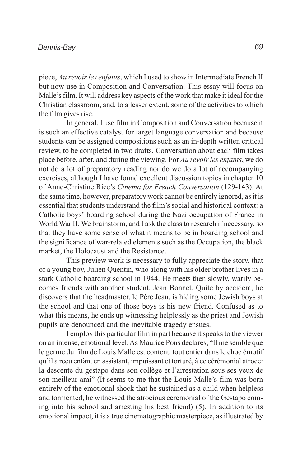piece, *Au revoir les enfants*, which I used to show in Intermediate French II but now use in Composition and Conversation. This essay will focus on Malle's film. It will address key aspects of the work that make it ideal for the Christian classroom, and, to a lesser extent, some of the activities to which the film gives rise.

In general, I use film in Composition and Conversation because it is such an effective catalyst for target language conversation and because students can be assigned compositions such as an in-depth written critical review, to be completed in two drafts. Conversation about each film takes place before, after, and during the viewing. For *Au revoir les enfants*, we do not do a lot of preparatory reading nor do we do a lot of accompanying exercises, although I have found excellent discussion topics in chapter 10 of Anne-Christine Rice's *Cinema for French Conversation* (129-143). At the same time, however, preparatory work cannot be entirely ignored, as it is essential that students understand the film's social and historical context: a Catholic boys' boarding school during the Nazi occupation of France in World War II. We brainstorm, and I ask the class to research if necessary, so that they have some sense of what it means to be in boarding school and the significance of war-related elements such as the Occupation, the black market, the Holocaust and the Resistance.

This preview work is necessary to fully appreciate the story, that of a young boy, Julien Quentin, who along with his older brother lives in a stark Catholic boarding school in 1944. He meets then slowly, warily becomes friends with another student, Jean Bonnet. Quite by accident, he discovers that the headmaster, le Père Jean, is hiding some Jewish boys at the school and that one of those boys is his new friend. Confused as to what this means, he ends up witnessing helplessly as the priest and Jewish pupils are denounced and the inevitable tragedy ensues.

I employ this particular film in part because it speaks to the viewer on an intense, emotional level. As Maurice Pons declares, "Il me semble que le germe du film de Louis Malle est contenu tout entier dans le choc émotif qu'il a reçu enfant en assistant, impuissant et torturé, à ce cérémonial atroce: la descente du gestapo dans son collège et l'arrestation sous ses yeux de son meilleur ami" (It seems to me that the Louis Malle's film was born entirely of the emotional shock that he sustained as a child when helpless and tormented, he witnessed the atrocious ceremonial of the Gestapo coming into his school and arresting his best friend) (5). In addition to its emotional impact, it is a true cinematographic masterpiece, as illustrated by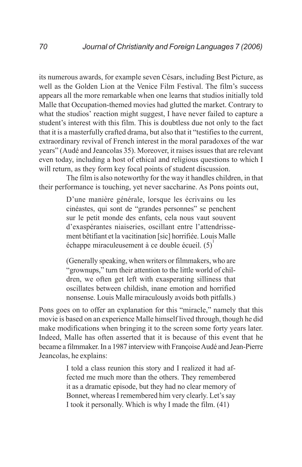its numerous awards, for example seven Césars, including Best Picture, as well as the Golden Lion at the Venice Film Festival. The film's success appears all the more remarkable when one learns that studios initially told Malle that Occupation-themed movies had glutted the market. Contrary to what the studios' reaction might suggest, I have never failed to capture a student's interest with this film. This is doubtless due not only to the fact that it is a masterfully crafted drama, but also that it "testifies to the current, extraordinary revival of French interest in the moral paradoxes of the war years" (Audé and Jeancolas 35). Moreover, it raises issues that are relevant even today, including a host of ethical and religious questions to which I will return, as they form key focal points of student discussion.

The film is also noteworthy for the way it handles children, in that their performance is touching, yet never saccharine. As Pons points out,

> D'une manière générale, lorsque les écrivains ou les cinéastes, qui sont de "grandes personnes" se penchent sur le petit monde des enfants, cela nous vaut souvent d'exaspérantes niaiseries, oscillant entre l'attendrissement bêtifiant et la vacitination [sic] horrifiée. Louis Malle échappe miraculeusement à ce double écueil.  $(5)^{1}$

> (Generally speaking, when writers or filmmakers, who are "grownups," turn their attention to the little world of children, we often get left with exasperating silliness that oscillates between childish, inane emotion and horrified nonsense. Louis Malle miraculously avoids both pitfalls.)

Pons goes on to offer an explanation for this "miracle," namely that this movie is based on an experience Malle himself lived through, though he did make modifications when bringing it to the screen some forty years later. Indeed, Malle has often asserted that it is because of this event that he became a filmmaker. In a 1987 interview with Françoise Audé and Jean-Pierre Jeancolas, he explains:

> I told a class reunion this story and I realized it had affected me much more than the others. They remembered it as a dramatic episode, but they had no clear memory of Bonnet, whereas I remembered him very clearly. Let's say I took it personally. Which is why I made the film. (41)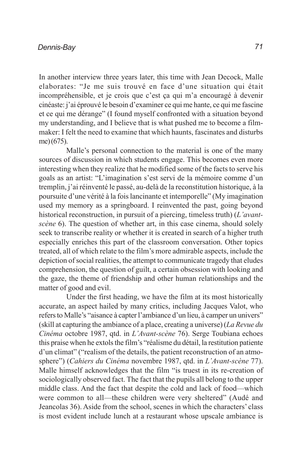In another interview three years later, this time with Jean Decock, Malle elaborates: "Je me suis trouvé en face d'une situation qui était incompréhensible, et je crois que c'est ça qui m'a encouragé à devenir cinéaste: j'ai éprouvé le besoin d'examiner ce qui me hante, ce qui me fascine et ce qui me dérange" (I found myself confronted with a situation beyond my understanding, and I believe that is what pushed me to become a filmmaker: I felt the need to examine that which haunts, fascinates and disturbs me) (675).

Malle's personal connection to the material is one of the many sources of discussion in which students engage. This becomes even more interesting when they realize that he modified some of the facts to serve his goals as an artist: "L'imagination s'est servi de la mémoire comme d'un tremplin, j'ai réinventé le passé, au-delà de la reconstitution historique, à la poursuite d'une vérité à la fois lancinante et intemporelle" (My imagination used my memory as a springboard. I reinvented the past, going beyond historical reconstruction, in pursuit of a piercing, timeless truth) (*L'avantscène* 6). The question of whether art, in this case cinema, should solely seek to transcribe reality or whether it is created in search of a higher truth especially enriches this part of the classroom conversation. Other topics treated, all of which relate to the film's more admirable aspects, include the depiction of social realities, the attempt to communicate tragedy that eludes comprehension, the question of guilt, a certain obsession with looking and the gaze, the theme of friendship and other human relationships and the matter of good and evil.

Under the first heading, we have the film at its most historically accurate, an aspect hailed by many critics, including Jacques Valot, who refers to Malle's "aisance à capter l'ambiance d'un lieu, à camper un univers" (skill at capturing the ambiance of a place, creating a universe) (*La Revue du Cinéma* octobre 1987, qtd. in *L'Avant-scène* 76). Serge Toubiana echoes this praise when he extols the film's "réalisme du détail, la restitution patiente d'un climat" ("realism of the details, the patient reconstruction of an atmosphere") (*Cahiers du Cinéma* novembre 1987, qtd. in *L'Avant-scène* 77). Malle himself acknowledges that the film "is truest in its re-creation of sociologically observed fact. The fact that the pupils all belong to the upper middle class. And the fact that despite the cold and lack of food—which were common to all—these children were very sheltered" (Audé and Jeancolas 36). Aside from the school, scenes in which the characters' class is most evident include lunch at a restaurant whose upscale ambiance is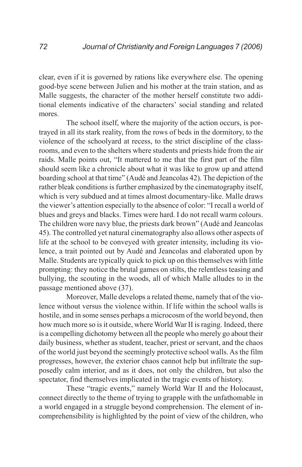clear, even if it is governed by rations like everywhere else. The opening good-bye scene between Julien and his mother at the train station, and as Malle suggests, the character of the mother herself constitute two additional elements indicative of the characters' social standing and related mores.

The school itself, where the majority of the action occurs, is portrayed in all its stark reality, from the rows of beds in the dormitory, to the violence of the schoolyard at recess, to the strict discipline of the classrooms, and even to the shelters where students and priests hide from the air raids. Malle points out, "It mattered to me that the first part of the film should seem like a chronicle about what it was like to grow up and attend boarding school at that time" (Audé and Jeancolas 42). The depiction of the rather bleak conditions is further emphasized by the cinematography itself, which is very subdued and at times almost documentary-like. Malle draws the viewer's attention especially to the absence of color: "I recall a world of blues and greys and blacks. Times were hard. I do not recall warm colours. The children wore navy blue, the priests dark brown" (Audé and Jeancolas 45). The controlled yet natural cinematography also allows other aspects of life at the school to be conveyed with greater intensity, including its violence, a trait pointed out by Audé and Jeancolas and elaborated upon by Malle. Students are typically quick to pick up on this themselves with little prompting: they notice the brutal games on stilts, the relentless teasing and bullying, the scouting in the woods, all of which Malle alludes to in the passage mentioned above (37).

Moreover, Malle develops a related theme, namely that of the violence without versus the violence within. If life within the school walls is hostile, and in some senses perhaps a microcosm of the world beyond, then how much more so is it outside, where World War II is raging. Indeed, there is a compelling dichotomy between all the people who merely go about their daily business, whether as student, teacher, priest or servant, and the chaos of the world just beyond the seemingly protective school walls. As the film progresses, however, the exterior chaos cannot help but infiltrate the supposedly calm interior, and as it does, not only the children, but also the spectator, find themselves implicated in the tragic events of history.

These "tragic events," namely World War II and the Holocaust, connect directly to the theme of trying to grapple with the unfathomable in a world engaged in a struggle beyond comprehension. The element of incomprehensibility is highlighted by the point of view of the children, who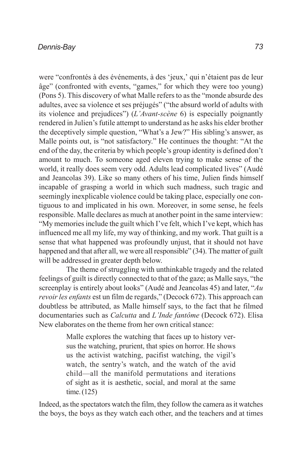#### *Dennis-Bay*

were "confrontés à des événements, à des 'jeux,' qui n'étaient pas de leur âge" (confronted with events, "games," for which they were too young) (Pons 5). This discovery of what Malle refers to as the "monde absurde des adultes, avec sa violence et ses préjugés" ("the absurd world of adults with its violence and prejudices") (*L'Avant-scène* 6) is especially poignantly rendered in Julien's futile attempt to understand as he asks his elder brother the deceptively simple question, "What's a Jew?" His sibling's answer, as Malle points out, is "not satisfactory." He continues the thought: "At the end of the day, the criteria by which people's group identity is defined don't amount to much. To someone aged eleven trying to make sense of the world, it really does seem very odd. Adults lead complicated lives" (Audé and Jeancolas 39). Like so many others of his time, Julien finds himself incapable of grasping a world in which such madness, such tragic and seemingly inexplicable violence could be taking place, especially one contiguous to and implicated in his own. Moreover, in some sense, he feels responsible. Malle declares as much at another point in the same interview: "My memories include the guilt which I've felt, which I've kept, which has influenced me all my life, my way of thinking, and my work. That guilt is a sense that what happened was profoundly unjust, that it should not have happened and that after all, we were all responsible" (34). The matter of guilt will be addressed in greater depth below.

The theme of struggling with unthinkable tragedy and the related feelings of guilt is directly connected to that of the gaze; as Malle says, "the screenplay is entirely about looks" (Audé and Jeancolas 45) and later, "*Au revoir les enfants* est un film de regards," (Decock 672). This approach can doubtless be attributed, as Malle himself says, to the fact that he filmed documentaries such as *Calcutta* and *L'Inde fantôme* (Decock 672). Elisa New elaborates on the theme from her own critical stance:

> Malle explores the watching that faces up to history versus the watching, prurient, that spies on horror. He shows us the activist watching, pacifist watching, the vigil's watch, the sentry's watch, and the watch of the avid child—all the manifold permutations and iterations of sight as it is aesthetic, social, and moral at the same time. (125)

Indeed, as the spectators watch the film, they follow the camera as it watches the boys, the boys as they watch each other, and the teachers and at times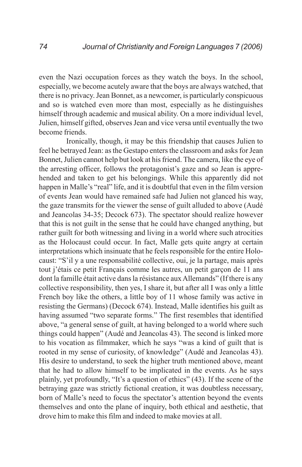even the Nazi occupation forces as they watch the boys. In the school, especially, we become acutely aware that the boys are always watched, that there is no privacy. Jean Bonnet, as a newcomer, is particularly conspicuous and so is watched even more than most, especially as he distinguishes himself through academic and musical ability. On a more individual level, Julien, himself gifted, observes Jean and vice versa until eventually the two become friends.

Ironically, though, it may be this friendship that causes Julien to feel he betrayed Jean: as the Gestapo enters the classroom and asks for Jean Bonnet, Julien cannot help but look at his friend. The camera, like the eye of the arresting officer, follows the protagonist's gaze and so Jean is apprehended and taken to get his belongings. While this apparently did not happen in Malle's "real" life, and it is doubtful that even in the film version of events Jean would have remained safe had Julien not glanced his way, the gaze transmits for the viewer the sense of guilt alluded to above (Audé and Jeancolas 34-35; Decock 673). The spectator should realize however that this is not guilt in the sense that he could have changed anything, but rather guilt for both witnessing and living in a world where such atrocities as the Holocaust could occur. In fact, Malle gets quite angry at certain interpretations which insinuate that he feels responsible for the entire Holocaust: "S'il y a une responsabilité collective, oui, je la partage, mais après tout j'étais ce petit Français comme les autres, un petit garçon de 11 ans dont la famille était active dans la résistance aux Allemands" (If there is any collective responsibility, then yes, I share it, but after all I was only a little French boy like the others, a little boy of 11 whose family was active in resisting the Germans) (Decock 674). Instead, Malle identifies his guilt as having assumed "two separate forms." The first resembles that identified above, "a general sense of guilt, at having belonged to a world where such things could happen" (Audé and Jeancolas 43). The second is linked more to his vocation as filmmaker, which he says "was a kind of guilt that is rooted in my sense of curiosity, of knowledge" (Audé and Jeancolas 43). His desire to understand, to seek the higher truth mentioned above, meant that he had to allow himself to be implicated in the events. As he says plainly, yet profoundly, "It's a question of ethics" (43). If the scene of the betraying gaze was strictly fictional creation, it was doubtless necessary, born of Malle's need to focus the spectator's attention beyond the events themselves and onto the plane of inquiry, both ethical and aesthetic, that drove him to make this film and indeed to make movies at all.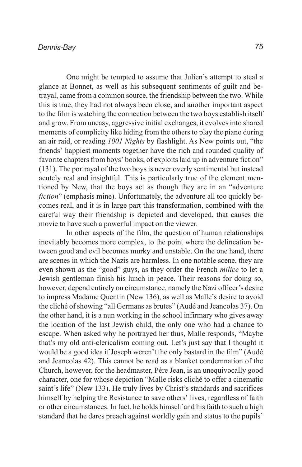One might be tempted to assume that Julien's attempt to steal a glance at Bonnet, as well as his subsequent sentiments of guilt and betrayal, came from a common source, the friendship between the two. While this is true, they had not always been close, and another important aspect to the film is watching the connection between the two boys establish itself and grow. From uneasy, aggressive initial exchanges, it evolves into shared moments of complicity like hiding from the others to play the piano during an air raid, or reading *1001 Nights* by flashlight. As New points out, "the friends' happiest moments together have the rich and rounded quality of favorite chapters from boys' books, of exploits laid up in adventure fiction" (131). The portrayal of the two boys is never overly sentimental but instead acutely real and insightful. This is particularly true of the element mentioned by New, that the boys act as though they are in an "adventure *fiction*" (emphasis mine). Unfortunately, the adventure all too quickly becomes real, and it is in large part this transformation, combined with the careful way their friendship is depicted and developed, that causes the movie to have such a powerful impact on the viewer.

In other aspects of the film, the question of human relationships inevitably becomes more complex, to the point where the delineation between good and evil becomes murky and unstable. On the one hand, there are scenes in which the Nazis are harmless. In one notable scene, they are even shown as the "good" guys, as they order the French *milice* to let a Jewish gentleman finish his lunch in peace. Their reasons for doing so, however, depend entirely on circumstance, namely the Nazi officer's desire to impress Madame Quentin (New 136), as well as Malle's desire to avoid the cliché of showing "all Germans as brutes" (Audé and Jeancolas 37). On the other hand, it is a nun working in the school infirmary who gives away the location of the last Jewish child, the only one who had a chance to escape. When asked why he portrayed her thus, Malle responds, "Maybe that's my old anti-clericalism coming out. Let's just say that I thought it would be a good idea if Joseph weren't the only bastard in the film" (Audé and Jeancolas 42). This cannot be read as a blanket condemnation of the Church, however, for the headmaster, Père Jean, is an unequivocally good character, one for whose depiction "Malle risks cliché to offer a cinematic saint's life" (New 133). He truly lives by Christ's standards and sacrifices himself by helping the Resistance to save others' lives, regardless of faith or other circumstances. In fact, he holds himself and his faith to such a high standard that he dares preach against worldly gain and status to the pupils'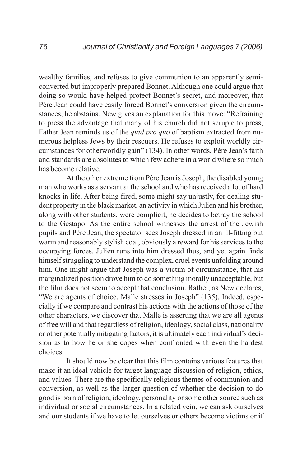wealthy families, and refuses to give communion to an apparently semiconverted but improperly prepared Bonnet. Although one could argue that doing so would have helped protect Bonnet's secret, and moreover, that Père Jean could have easily forced Bonnet's conversion given the circumstances, he abstains. New gives an explanation for this move: "Refraining to press the advantage that many of his church did not scruple to press, Father Jean reminds us of the *quid pro quo* of baptism extracted from numerous helpless Jews by their rescuers. He refuses to exploit worldly circumstances for otherworldly gain" (134). In other words, Père Jean's faith and standards are absolutes to which few adhere in a world where so much has become relative.

At the other extreme from Père Jean is Joseph, the disabled young man who works as a servant at the school and who has received a lot of hard knocks in life. After being fired, some might say unjustly, for dealing student property in the black market, an activity in which Julien and his brother, along with other students, were complicit, he decides to betray the school to the Gestapo. As the entire school witnesses the arrest of the Jewish pupils and Père Jean, the spectator sees Joseph dressed in an ill-fitting but warm and reasonably stylish coat, obviously a reward for his services to the occupying forces. Julien runs into him dressed thus, and yet again finds himself struggling to understand the complex, cruel events unfolding around him. One might argue that Joseph was a victim of circumstance, that his marginalized position drove him to do something morally unacceptable, but the film does not seem to accept that conclusion. Rather, as New declares, "We are agents of choice, Malle stresses in Joseph" (135). Indeed, especially if we compare and contrast his actions with the actions of those of the other characters, we discover that Malle is asserting that we are all agents of free will and that regardless of religion, ideology, social class, nationality or other potentially mitigating factors, it is ultimately each individual's decision as to how he or she copes when confronted with even the hardest choices.

It should now be clear that this film contains various features that make it an ideal vehicle for target language discussion of religion, ethics, and values. There are the specifically religious themes of communion and conversion, as well as the larger question of whether the decision to do good is born of religion, ideology, personality or some other source such as individual or social circumstances. In a related vein, we can ask ourselves and our students if we have to let ourselves or others become victims or if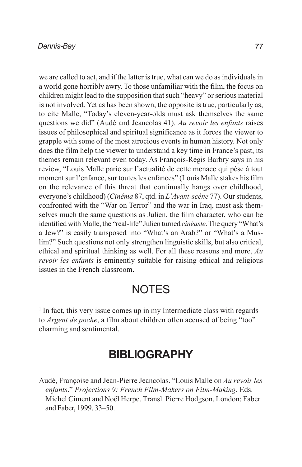#### *Dennis-Bay*

we are called to act, and if the latter is true, what can we do as individuals in a world gone horribly awry. To those unfamiliar with the film, the focus on children might lead to the supposition that such "heavy" or serious material is not involved. Yet as has been shown, the opposite is true, particularly as, to cite Malle, "Today's eleven-year-olds must ask themselves the same questions we did" (Audé and Jeancolas 41). *Au revoir les enfants* raises issues of philosophical and spiritual significance as it forces the viewer to grapple with some of the most atrocious events in human history. Not only does the film help the viewer to understand a key time in France's past, its themes remain relevant even today. As François-Régis Barbry says in his review, "Louis Malle parie sur l'actualité de cette menace qui pèse à tout moment sur l'enfance, sur toutes les enfances" (Louis Malle stakes his film on the relevance of this threat that continually hangs over childhood, everyone's childhood) (*Cinéma* 87, qtd. in *L'Avant-scène* 77). Our students, confronted with the "War on Terror" and the war in Iraq, must ask themselves much the same questions as Julien, the film character, who can be identified with Malle, the "real-life" Julien turned *cinéaste*. The query "What's a Jew?" is easily transposed into "What's an Arab?" or "What's a Muslim?" Such questions not only strengthen linguistic skills, but also critical, ethical and spiritual thinking as well. For all these reasons and more, *Au revoir les enfants* is eminently suitable for raising ethical and religious issues in the French classroom.

### **NOTES**

<sup>1</sup> In fact, this very issue comes up in my Intermediate class with regards to *Argent de poche*, a film about children often accused of being "too" charming and sentimental.

# **BIBLIOGRAPHY**

Audé, Françoise and Jean-Pierre Jeancolas. "Louis Malle on *Au revoir les enfants*." *Projections 9: French Film-Makers on Film-Making*. Eds. Michel Ciment and Noël Herpe. Transl. Pierre Hodgson. London: Faber and Faber, 1999. 33–50.